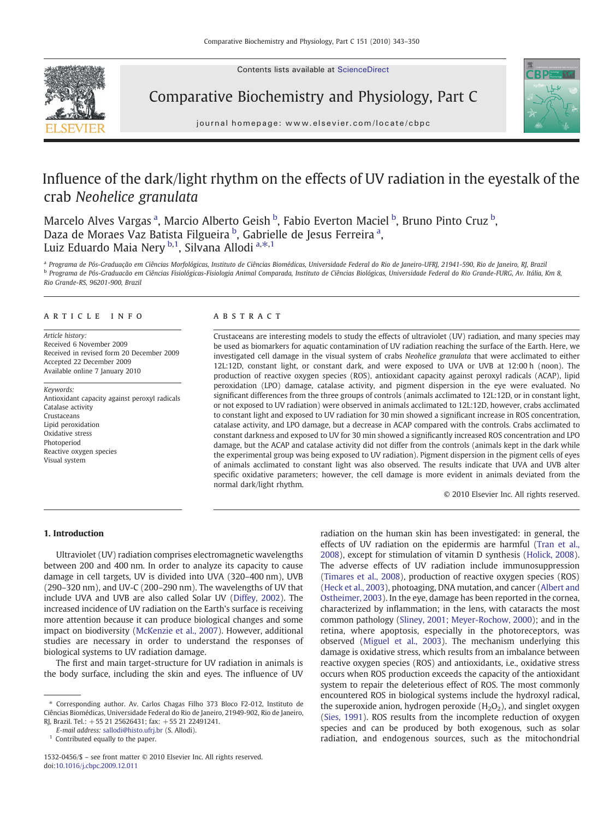Contents lists available at ScienceDirect



Comparative Biochemistry and Physiology, Part C



journal homepage: www.elsevier.com/locate/cbpc

# Influence of the dark/light rhythm on the effects of UV radiation in the eyestalk of the crab Neohelice granulata

Marcelo Alves Vargas <sup>a</sup>, Marcio Alberto Geish <sup>b</sup>, Fabio Everton Maciel <sup>b</sup>, Bruno Pinto Cruz <sup>b</sup>, Daza de Moraes Vaz Batista Filgueira <sup>b</sup>, Gabrielle de Jesus Ferreira <sup>a</sup>, Luiz Eduardo Maia Nery <sup>b,1</sup>, Silvana Allodi <sup>a, $\ast,1$ </sup>

a Programa de Pós-Graduação em Ciências Morfológicas, Instituto de Ciências Biomédicas, Universidade Federal do Rio de Janeiro-UFRJ, 21941-590, Rio de Janeiro, RJ, Brazil <sup>b</sup> Programa de Pós-Graduacão em Ciências Fisiológicas-Fisiologia Animal Comparada, Instituto de Ciências Biológicas, Universidade Federal do Rio Grande-FURG, Av. Itália, Km 8, Rio Grande-RS, 96201-900, Brazil

# article info abstract

Article history: Received 6 November 2009 Received in revised form 20 December 2009 Accepted 22 December 2009 Available online 7 January 2010

Keywords: Antioxidant capacity against peroxyl radicals Catalase activity Crustaceans Lipid peroxidation Oxidative stress Photoperiod Reactive oxygen species Visual system

Crustaceans are interesting models to study the effects of ultraviolet (UV) radiation, and many species may be used as biomarkers for aquatic contamination of UV radiation reaching the surface of the Earth. Here, we investigated cell damage in the visual system of crabs Neohelice granulata that were acclimated to either 12L:12D, constant light, or constant dark, and were exposed to UVA or UVB at 12:00 h (noon). The production of reactive oxygen species (ROS), antioxidant capacity against peroxyl radicals (ACAP), lipid peroxidation (LPO) damage, catalase activity, and pigment dispersion in the eye were evaluated. No significant differences from the three groups of controls (animals acclimated to 12L:12D, or in constant light, or not exposed to UV radiation) were observed in animals acclimated to 12L:12D, however, crabs acclimated to constant light and exposed to UV radiation for 30 min showed a significant increase in ROS concentration, catalase activity, and LPO damage, but a decrease in ACAP compared with the controls. Crabs acclimated to constant darkness and exposed to UV for 30 min showed a significantly increased ROS concentration and LPO damage, but the ACAP and catalase activity did not differ from the controls (animals kept in the dark while the experimental group was being exposed to UV radiation). Pigment dispersion in the pigment cells of eyes of animals acclimated to constant light was also observed. The results indicate that UVA and UVB alter specific oxidative parameters; however, the cell damage is more evident in animals deviated from the normal dark/light rhythm.

© 2010 Elsevier Inc. All rights reserved.

# 1. Introduction

Ultraviolet (UV) radiation comprises electromagnetic wavelengths between 200 and 400 nm. In order to analyze its capacity to cause damage in cell targets, UV is divided into UVA (320–400 nm), UVB (290–320 nm), and UV-C (200–290 nm). The wavelengths of UV that include UVA and UVB are also called Solar UV [\(Diffey, 2002](#page-6-0)). The increased incidence of UV radiation on the Earth's surface is receiving more attention because it can produce biological changes and some impact on biodiversity ([McKenzie et al., 2007](#page-6-0)). However, additional studies are necessary in order to understand the responses of biological systems to UV radiation damage.

The first and main target-structure for UV radiation in animals is the body surface, including the skin and eyes. The influence of UV

 $1$  Contributed equally to the paper.

radiation on the human skin has been investigated: in general, the effects of UV radiation on the epidermis are harmful [\(Tran et al.,](#page-6-0) [2008\)](#page-6-0), except for stimulation of vitamin D synthesis [\(Holick, 2008](#page-6-0)). The adverse effects of UV radiation include immunosuppression [\(Timares et al., 2008\)](#page-6-0), production of reactive oxygen species (ROS) [\(Heck et al., 2003\)](#page-6-0), photoaging, DNA mutation, and cancer ([Albert and](#page-6-0) [Ostheimer, 2003](#page-6-0)). In the eye, damage has been reported in the cornea, characterized by inflammation; in the lens, with cataracts the most common pathology [\(Sliney, 2001; Meyer-Rochow, 2000](#page-6-0)); and in the retina, where apoptosis, especially in the photoreceptors, was observed [\(Miguel et al., 2003\)](#page-6-0). The mechanism underlying this damage is oxidative stress, which results from an imbalance between reactive oxygen species (ROS) and antioxidants, i.e., oxidative stress occurs when ROS production exceeds the capacity of the antioxidant system to repair the deleterious effect of ROS. The most commonly encountered ROS in biological systems include the hydroxyl radical, the superoxide anion, hydrogen peroxide  $(H<sub>2</sub>O<sub>2</sub>)$ , and singlet oxygen [\(Sies, 1991\)](#page-6-0). ROS results from the incomplete reduction of oxygen species and can be produced by both exogenous, such as solar radiation, and endogenous sources, such as the mitochondrial

<sup>⁎</sup> Corresponding author. Av. Carlos Chagas Filho 373 Bloco F2-012, Instituto de Ciências Biomédicas, Universidade Federal do Rio de Janeiro, 21949-902, Rio de Janeiro, RJ, Brazil. Tel.: +55 21 25626431; fax: +55 21 22491241.

E-mail address: [sallodi@histo.ufrj.br](mailto:sallodi@histo.ufrj.br) (S. Allodi).

<sup>1532-0456/\$</sup> – see front matter © 2010 Elsevier Inc. All rights reserved. doi:[10.1016/j.cbpc.2009.12.011](http://dx.doi.org/10.1016/j.cbpc.2009.12.011)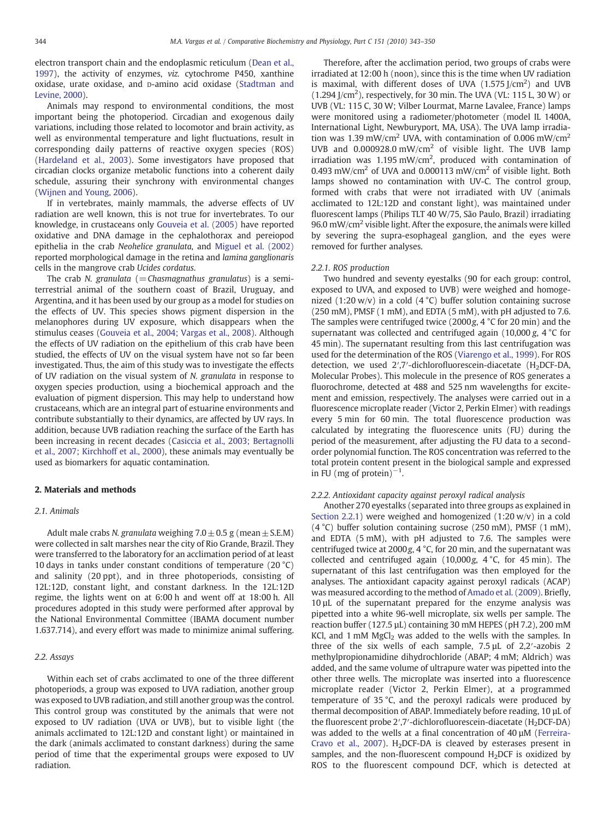<span id="page-1-0"></span>electron transport chain and the endoplasmic reticulum [\(Dean et al.,](#page-6-0) [1997\)](#page-6-0), the activity of enzymes, viz. cytochrome P450, xanthine oxidase, urate oxidase, and D-amino acid oxidase ([Stadtman and](#page-6-0) [Levine, 2000\)](#page-6-0).

Animals may respond to environmental conditions, the most important being the photoperiod. Circadian and exogenous daily variations, including those related to locomotor and brain activity, as well as environmental temperature and light fluctuations, result in corresponding daily patterns of reactive oxygen species (ROS) [\(Hardeland et al., 2003](#page-6-0)). Some investigators have proposed that circadian clocks organize metabolic functions into a coherent daily schedule, assuring their synchrony with environmental changes [\(Wijnen and Young, 2006](#page-7-0)).

If in vertebrates, mainly mammals, the adverse effects of UV radiation are well known, this is not true for invertebrates. To our knowledge, in crustaceans only [Gouveia et al. \(2005\)](#page-6-0) have reported oxidative and DNA damage in the cephalothorax and pereiopod epithelia in the crab Neohelice granulata, and [Miguel et al. \(2002\)](#page-6-0) reported morphological damage in the retina and lamina ganglionaris cells in the mangrove crab Ucides cordatus.

The crab N. granulata ( $=$ Chasmagnathus granulatus) is a semiterrestrial animal of the southern coast of Brazil, Uruguay, and Argentina, and it has been used by our group as a model for studies on the effects of UV. This species shows pigment dispersion in the melanophores during UV exposure, which disappears when the stimulus ceases ([Gouveia et al., 2004; Vargas et al., 2008](#page-6-0)). Although the effects of UV radiation on the epithelium of this crab have been studied, the effects of UV on the visual system have not so far been investigated. Thus, the aim of this study was to investigate the effects of UV radiation on the visual system of N. granulata in response to oxygen species production, using a biochemical approach and the evaluation of pigment dispersion. This may help to understand how crustaceans, which are an integral part of estuarine environments and contribute substantially to their dynamics, are affected by UV rays. In addition, because UVB radiation reaching the surface of the Earth has been increasing in recent decades ([Casiccia et al., 2003; Bertagnolli](#page-6-0) [et al., 2007; Kirchhoff et al., 2000](#page-6-0)), these animals may eventually be used as biomarkers for aquatic contamination.

#### 2. Materials and methods

# 2.1. Animals

Adult male crabs N. granulata weighing  $7.0 \pm 0.5$  g (mean  $\pm$  S.E.M) were collected in salt marshes near the city of Rio Grande, Brazil. They were transferred to the laboratory for an acclimation period of at least 10 days in tanks under constant conditions of temperature (20 °C) and salinity (20 ppt), and in three photoperiods, consisting of 12L:12D, constant light, and constant darkness. In the 12L:12D regime, the lights went on at 6:00 h and went off at 18:00 h. All procedures adopted in this study were performed after approval by the National Environmental Committee (IBAMA document number 1.637.714), and every effort was made to minimize animal suffering.

# 2.2. Assays

Within each set of crabs acclimated to one of the three different photoperiods, a group was exposed to UVA radiation, another group was exposed to UVB radiation, and still another group was the control. This control group was constituted by the animals that were not exposed to UV radiation (UVA or UVB), but to visible light (the animals acclimated to 12L:12D and constant light) or maintained in the dark (animals acclimated to constant darkness) during the same period of time that the experimental groups were exposed to UV radiation.

Therefore, after the acclimation period, two groups of crabs were irradiated at 12:00 h (noon), since this is the time when UV radiation is maximal, with different doses of UVA  $(1.575$  J/cm<sup>2</sup>) and UVB  $(1.294$  J/cm<sup>2</sup>), respectively, for 30 min. The UVA (VL: 115 L, 30 W) or UVB (VL: 115 C, 30 W; Vilber Lourmat, Marne Lavalee, France) lamps were monitored using a radiometer/photometer (model IL 1400A, International Light, Newburyport, MA, USA). The UVA lamp irradiation was 1.39 mW/cm<sup>2</sup> UVA, with contamination of 0.006 mW/cm<sup>2</sup> UVB and 0.000928.0 mW/cm<sup>2</sup> of visible light. The UVB lamp irradiation was  $1.195 \text{ mW/cm}^2$ , produced with contamination of 0.493 mW/cm<sup>2</sup> of UVA and 0.000113 mW/cm<sup>2</sup> of visible light. Both lamps showed no contamination with UV-C. The control group, formed with crabs that were not irradiated with UV (animals acclimated to 12L:12D and constant light), was maintained under fluorescent lamps (Philips TLT 40 W/75, São Paulo, Brazil) irradiating 96.0 mW/cm2 visible light. After the exposure, the animals were killed by severing the supra-esophageal ganglion, and the eyes were removed for further analyses.

## 2.2.1. ROS production

Two hundred and seventy eyestalks (90 for each group: control, exposed to UVA, and exposed to UVB) were weighed and homogenized (1:20 w/v) in a cold (4  $^{\circ}$ C) buffer solution containing sucrose (250 mM), PMSF (1 mM), and EDTA (5 mM), with pH adjusted to 7.6. The samples were centrifuged twice  $(2000g, 4 \degree C$  for 20 min) and the supernatant was collected and centrifuged again  $(10,000 \text{ g}, 4 \degree C)$  for 45 min). The supernatant resulting from this last centrifugation was used for the determination of the ROS ([Viarengo et al., 1999](#page-7-0)). For ROS detection, we used  $2'$ ,7′-dichlorofluorescein-diacetate (H<sub>2</sub>DCF-DA, Molecular Probes). This molecule in the presence of ROS generates a fluorochrome, detected at 488 and 525 nm wavelengths for excitement and emission, respectively. The analyses were carried out in a fluorescence microplate reader (Victor 2, Perkin Elmer) with readings every 5 min for 60 min. The total fluorescence production was calculated by integrating the fluorescence units (FU) during the period of the measurement, after adjusting the FU data to a secondorder polynomial function. The ROS concentration was referred to the total protein content present in the biological sample and expressed in FU (mg of protein)<sup>-1</sup>.

# 2.2.2. Antioxidant capacity against peroxyl radical analysis

Another 270 eyestalks (separated into three groups as explained in Section 2.2.1) were weighed and homogenized (1:20 w/v) in a cold (4 °C) buffer solution containing sucrose (250 mM), PMSF (1 mM), and EDTA (5 mM), with pH adjusted to 7.6. The samples were centrifuged twice at 2000g, 4 °C, for 20 min, and the supernatant was collected and centrifuged again (10,000g, 4 °C, for 45 min). The supernatant of this last centrifugation was then employed for the analyses. The antioxidant capacity against peroxyl radicals (ACAP) was measured according to the method of [Amado et al. \(2009\).](#page-6-0) Briefly, 10 µL of the supernatant prepared for the enzyme analysis was pipetted into a white 96-well microplate, six wells per sample. The reaction buffer (127.5 µL) containing 30 mM HEPES (pH 7.2), 200 mM KCl, and 1 mM  $MgCl<sub>2</sub>$  was added to the wells with the samples. In three of the six wells of each sample, 7.5 µL of 2,2′-azobis 2 methylpropionamidine dihydrochloride (ABAP; 4 mM; Aldrich) was added, and the same volume of ultrapure water was pipetted into the other three wells. The microplate was inserted into a fluorescence microplate reader (Victor 2, Perkin Elmer), at a programmed temperature of 35 °C, and the peroxyl radicals were produced by thermal decomposition of ABAP. Immediately before reading, 10 µL of the fluorescent probe  $2'$ , 7′-dichlorofluorescein-diacetate (H<sub>2</sub>DCF-DA) was added to the wells at a final concentration of 40  $\mu$ M [\(Ferreira-](#page-6-0)[Cravo et al., 2007](#page-6-0)).  $H<sub>2</sub>DCF-DA$  is cleaved by esterases present in samples, and the non-fluorescent compound  $H<sub>2</sub>DCF$  is oxidized by ROS to the fluorescent compound DCF, which is detected at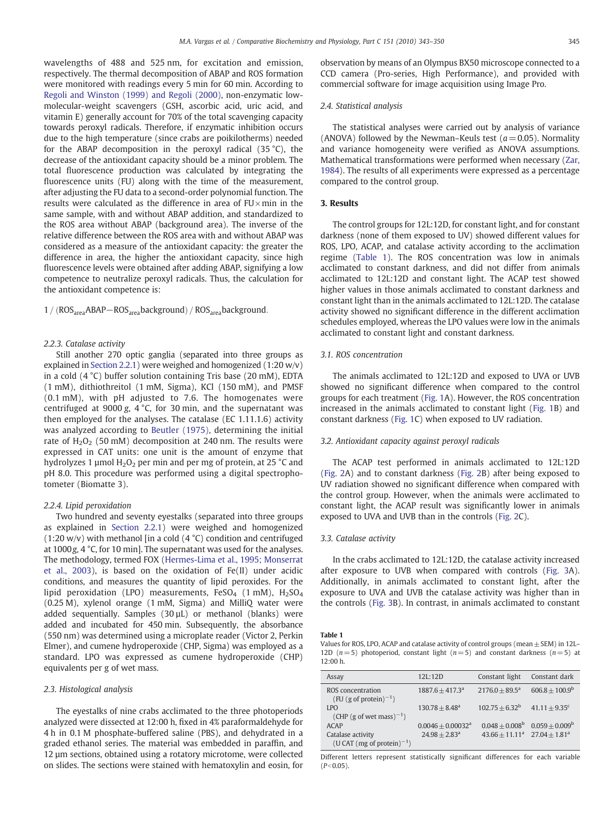<span id="page-2-0"></span>wavelengths of 488 and 525 nm, for excitation and emission, respectively. The thermal decomposition of ABAP and ROS formation were monitored with readings every 5 min for 60 min. According to [Regoli and Winston \(1999\) and Regoli \(2000\)](#page-6-0), non-enzymatic lowmolecular-weight scavengers (GSH, ascorbic acid, uric acid, and vitamin E) generally account for 70% of the total scavenging capacity towards peroxyl radicals. Therefore, if enzymatic inhibition occurs due to the high temperature (since crabs are poikilotherms) needed for the ABAP decomposition in the peroxyl radical (35 °C), the decrease of the antioxidant capacity should be a minor problem. The total fluorescence production was calculated by integrating the fluorescence units (FU) along with the time of the measurement, after adjusting the FU data to a second-order polynomial function. The results were calculated as the difference in area of  $FU \times min$  in the same sample, with and without ABAP addition, and standardized to the ROS area without ABAP (background area). The inverse of the relative difference between the ROS area with and without ABAP was considered as a measure of the antioxidant capacity: the greater the difference in area, the higher the antioxidant capacity, since high fluorescence levels were obtained after adding ABAP, signifying a low competence to neutralize peroxyl radicals. Thus, the calculation for the antioxidant competence is:

1 / (ROS<sub>area</sub>ABAP−ROS<sub>area</sub>background) / ROS<sub>area</sub>background.

# 2.2.3. Catalase activity

Still another 270 optic ganglia (separated into three groups as explained in [Section 2.2.1](#page-1-0)) were weighed and homogenized (1:20 w/v) in a cold (4 °C) buffer solution containing Tris base (20 mM), EDTA (1 mM), dithiothreitol (1 mM, Sigma), KCl (150 mM), and PMSF (0.1 mM), with pH adjusted to 7.6. The homogenates were centrifuged at 9000 g, 4 °C, for 30 min, and the supernatant was then employed for the analyses. The catalase (EC 1.11.1.6) activity was analyzed according to [Beutler \(1975\)](#page-6-0), determining the initial rate of  $H_2O_2$  (50 mM) decomposition at 240 nm. The results were expressed in CAT units: one unit is the amount of enzyme that hydrolyzes 1  $\mu$ mol H<sub>2</sub>O<sub>2</sub> per min and per mg of protein, at 25 °C and pH 8.0. This procedure was performed using a digital spectrophotometer (Biomatte 3).

## 2.2.4. Lipid peroxidation

Two hundred and seventy eyestalks (separated into three groups as explained in [Section 2.2.1](#page-1-0)) were weighed and homogenized (1:20 w/v) with methanol [in a cold  $(4 °C)$  condition and centrifuged at 1000g, 4 °C, for 10 min]. The supernatant was used for the analyses. The methodology, termed FOX ([Hermes-Lima et al., 1995; Monserrat](#page-6-0) [et al., 2003](#page-6-0)), is based on the oxidation of Fe(II) under acidic conditions, and measures the quantity of lipid peroxides. For the lipid peroxidation (LPO) measurements, FeSO<sub>4</sub> (1 mM),  $H<sub>2</sub>SO<sub>4</sub>$ (0.25 M), xylenol orange (1 mM, Sigma) and MilliQ water were added sequentially. Samples (30 µL) or methanol (blanks) were added and incubated for 450 min. Subsequently, the absorbance (550 nm) was determined using a microplate reader (Victor 2, Perkin Elmer), and cumene hydroperoxide (CHP, Sigma) was employed as a standard. LPO was expressed as cumene hydroperoxide (CHP) equivalents per g of wet mass.

# 2.3. Histological analysis

The eyestalks of nine crabs acclimated to the three photoperiods analyzed were dissected at 12:00 h, fixed in 4% paraformaldehyde for 4 h in 0.1 M phosphate-buffered saline (PBS), and dehydrated in a graded ethanol series. The material was embedded in paraffin, and 12 µm sections, obtained using a rotatory microtome, were collected on slides. The sections were stained with hematoxylin and eosin, for observation by means of an Olympus BX50 microscope connected to a CCD camera (Pro-series, High Performance), and provided with commercial software for image acquisition using Image Pro.

# 2.4. Statistical analysis

The statistical analyses were carried out by analysis of variance (ANOVA) followed by the Newman–Keuls test ( $a = 0.05$ ). Normality and variance homogeneity were verified as ANOVA assumptions. Mathematical transformations were performed when necessary ([Zar,](#page-7-0) [1984\)](#page-7-0). The results of all experiments were expressed as a percentage compared to the control group.

# 3. Results

The control groups for 12L:12D, for constant light, and for constant darkness (none of them exposed to UV) showed different values for ROS, LPO, ACAP, and catalase activity according to the acclimation regime (Table 1). The ROS concentration was low in animals acclimated to constant darkness, and did not differ from animals acclimated to 12L:12D and constant light. The ACAP test showed higher values in those animals acclimated to constant darkness and constant light than in the animals acclimated to 12L:12D. The catalase activity showed no significant difference in the different acclimation schedules employed, whereas the LPO values were low in the animals acclimated to constant light and constant darkness.

# 3.1. ROS concentration

The animals acclimated to 12L:12D and exposed to UVA or UVB showed no significant difference when compared to the control groups for each treatment [\(Fig. 1](#page-3-0)A). However, the ROS concentration increased in the animals acclimated to constant light [\(Fig. 1B](#page-3-0)) and constant darkness [\(Fig. 1C](#page-3-0)) when exposed to UV radiation.

# 3.2. Antioxidant capacity against peroxyl radicals

The ACAP test performed in animals acclimated to 12L:12D [\(Fig. 2](#page-3-0)A) and to constant darkness [\(Fig. 2](#page-3-0)B) after being exposed to UV radiation showed no significant difference when compared with the control group. However, when the animals were acclimated to constant light, the ACAP result was significantly lower in animals exposed to UVA and UVB than in the controls [\(Fig. 2](#page-3-0)C).

# 3.3. Catalase activity

In the crabs acclimated to 12L:12D, the catalase activity increased after exposure to UVB when compared with controls [\(Fig. 3](#page-4-0)A). Additionally, in animals acclimated to constant light, after the exposure to UVA and UVB the catalase activity was higher than in the controls ([Fig. 3B](#page-4-0)). In contrast, in animals acclimated to constant

#### Table 1

Values for ROS, LPO, ACAP and catalase activity of control groups (mean  $\pm$  SEM) in 12L-12D ( $n=5$ ) photoperiod, constant light ( $n=5$ ) and constant darkness ( $n=5$ ) at 12:00 h.

| Assay                                                       | 12L:12D                     | Constant light                     | Constant dark                                   |
|-------------------------------------------------------------|-----------------------------|------------------------------------|-------------------------------------------------|
| ROS concentration<br>(FU (g of protein) $^{-1}$ )           | $1887.6 + 417.3a$           | $2176.0 + 89.5^a$                  | $606.8 + 100.9^b$                               |
| <b>LPO</b><br>(CHP (g of wet mass) <sup>-1</sup> )          | $130.78 + 8.48^a$           | $102.75 + 6.32^b$                  | $41.11 + 9.35$ <sup>c</sup>                     |
| ACAP                                                        | $0.0046 + 0.00032a$         |                                    | $0.048 + 0.008^{\rm b}$ $0.059 + 0.009^{\rm b}$ |
| Catalase activity<br>(U CAT (mg of protein) <sup>-1</sup> ) | $24.98 + 2.83$ <sup>a</sup> | $43.66 + 11.11^a$ $27.04 + 1.81^a$ |                                                 |

Different letters represent statistically significant differences for each variable  $(P<0.05)$ .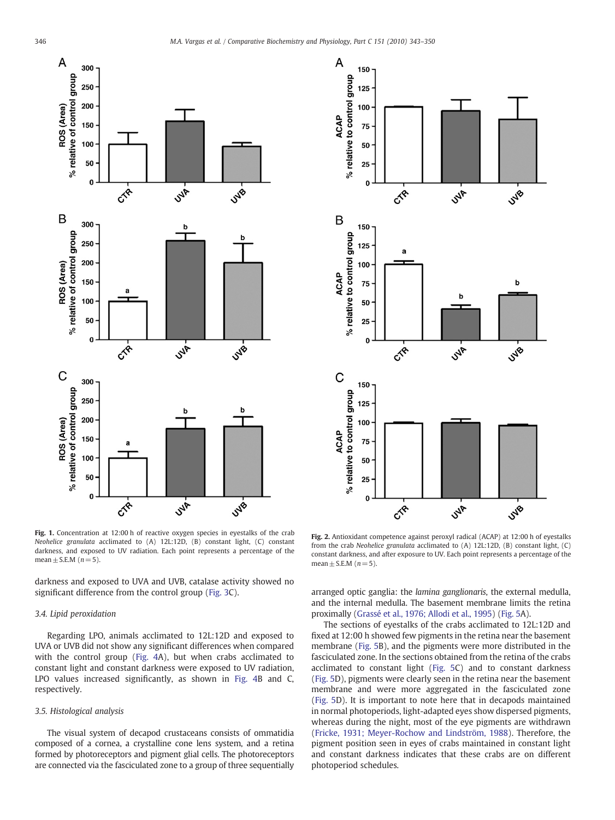<span id="page-3-0"></span>

Fig. 1. Concentration at 12:00 h of reactive oxygen species in eyestalks of the crab Neohelice granulata acclimated to (A) 12L:12D, (B) constant light, (C) constant darkness, and exposed to UV radiation. Each point represents a percentage of the mean  $\pm$  S.E.M ( $n=5$ ).

darkness and exposed to UVA and UVB, catalase activity showed no significant difference from the control group [\(Fig. 3C](#page-4-0)).

# 3.4. Lipid peroxidation

Regarding LPO, animals acclimated to 12L:12D and exposed to UVA or UVB did not show any significant differences when compared with the control group ([Fig. 4](#page-4-0)A), but when crabs acclimated to constant light and constant darkness were exposed to UV radiation, LPO values increased significantly, as shown in [Fig. 4B](#page-4-0) and C, respectively.

# 3.5. Histological analysis

The visual system of decapod crustaceans consists of ommatidia composed of a cornea, a crystalline cone lens system, and a retina formed by photoreceptors and pigment glial cells. The photoreceptors are connected via the fasciculated zone to a group of three sequentially



Fig. 2. Antioxidant competence against peroxyl radical (ACAP) at 12:00 h of eyestalks from the crab Neohelice granulata acclimated to (A) 12L:12D, (B) constant light, (C) constant darkness, and after exposure to UV. Each point represents a percentage of the mean + S.E.M  $(n=5)$ .

arranged optic ganglia: the lamina ganglionaris, the external medulla, and the internal medulla. The basement membrane limits the retina proximally ([Grassé et al., 1976; Allodi et al., 1995\)](#page-6-0) ([Fig. 5](#page-5-0)A).

The sections of eyestalks of the crabs acclimated to 12L:12D and fixed at 12:00 h showed few pigments in the retina near the basement membrane [\(Fig. 5B](#page-5-0)), and the pigments were more distributed in the fasciculated zone. In the sections obtained from the retina of the crabs acclimated to constant light [\(Fig. 5C](#page-5-0)) and to constant darkness [\(Fig. 5](#page-5-0)D), pigments were clearly seen in the retina near the basement membrane and were more aggregated in the fasciculated zone [\(Fig. 5](#page-5-0)D). It is important to note here that in decapods maintained in normal photoperiods, light-adapted eyes show dispersed pigments, whereas during the night, most of the eye pigments are withdrawn [\(Fricke, 1931; Meyer-Rochow and Lindström, 1988](#page-6-0)). Therefore, the pigment position seen in eyes of crabs maintained in constant light and constant darkness indicates that these crabs are on different photoperiod schedules.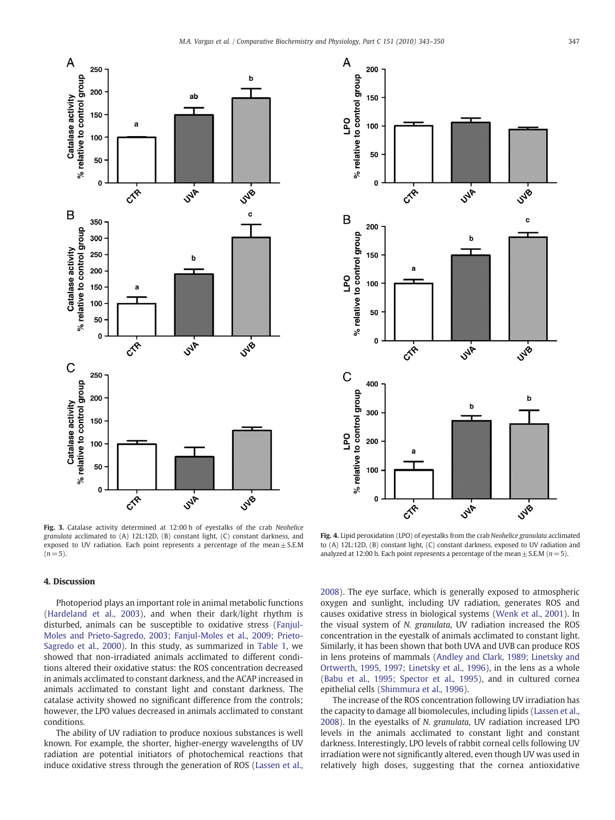<span id="page-4-0"></span>

% relative to control group 150 I PO 100 50  $\mathbf 0$  $\overline{c^*}$ **SHP** JyB B c 200 % relative to control group b 150 a I<sub>PO</sub> 100 50  $\mathbf 0$ **SNF**  $\overline{c^k}$ **JVB**  $\mathsf{C}$ 400 relative to control group b b 300 LPO 200 100  $\%$  $\mathbf 0$  $\overline{c^*}$ **SMR SNB-**

Fig. 3. Catalase activity determined at 12:00 h of eyestalks of the crab Neohelice granulata acclimated to (A) 12L:12D, (B) constant light, (C) constant darkness, and exposed to UV radiation. Each point represents a percentage of the mean $\pm$  S.E.M  $(n= 5)$ .

# Fig. 4. Lipid peroxidation (LPO) of eyestalks from the crab Neohelice granulata acclimated to (A) 12L:12D, (B) constant light, (C) constant darkness, exposed to UV radiation and analyzed at 12:00 h. Each point represents a percentage of the mean  $\pm$  S.E.M ( $n=5$ ).

# 4. Discussion

Photoperiod plays an important role in animal metabolic functions [\(Hardeland et al., 2003\)](#page-6-0), and when their dark/light rhythm is disturbed, animals can be susceptible to oxidative stress [\(Fanjul-](#page-6-0)[Moles and Prieto-Sagredo, 2003; Fanjul-Moles et al., 2009; Prieto-](#page-6-0)[Sagredo et al., 2000](#page-6-0)). In this study, as summarized in [Table 1](#page-2-0), we showed that non-irradiated animals acclimated to different conditions altered their oxidative status: the ROS concentration decreased in animals acclimated to constant darkness, and the ACAP increased in animals acclimated to constant light and constant darkness. The catalase activity showed no significant difference from the controls; however, the LPO values decreased in animals acclimated to constant conditions.

The ability of UV radiation to produce noxious substances is well known. For example, the shorter, higher-energy wavelengths of UV radiation are potential initiators of photochemical reactions that induce oxidative stress through the generation of ROS [\(Lassen et al.,](#page-6-0) [2008\)](#page-6-0). The eye surface, which is generally exposed to atmospheric oxygen and sunlight, including UV radiation, generates ROS and causes oxidative stress in biological systems [\(Wenk et al., 2001](#page-7-0)). In the visual system of N. granulata, UV radiation increased the ROS concentration in the eyestalk of animals acclimated to constant light. Similarly, it has been shown that both UVA and UVB can produce ROS in lens proteins of mammals ([Andley and Clark, 1989; Linetsky and](#page-6-0) [Ortwerth, 1995, 1997; Linetsky et al., 1996](#page-6-0)), in the lens as a whole [\(Babu et al., 1995; Spector et al., 1995](#page-6-0)), and in cultured cornea epithelial cells ([Shimmura et al., 1996](#page-6-0)).

The increase of the ROS concentration following UV irradiation has the capacity to damage all biomolecules, including lipids [\(Lassen et al.,](#page-6-0) [2008\)](#page-6-0). In the eyestalks of N. granulata, UV radiation increased LPO levels in the animals acclimated to constant light and constant darkness. Interestingly, LPO levels of rabbit corneal cells following UV irradiation were not significantly altered, even though UV was used in relatively high doses, suggesting that the cornea antioxidative

A

200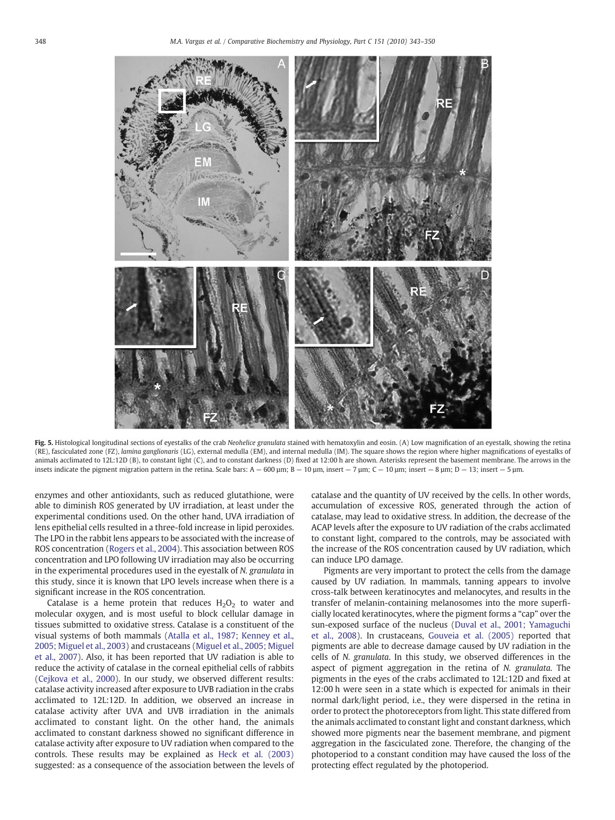<span id="page-5-0"></span>

Fig. 5. Histological longitudinal sections of eyestalks of the crab Neohelice granulata stained with hematoxylin and eosin. (A) Low magnification of an eyestalk, showing the retina (RE), fasciculated zone (FZ), lamina ganglionaris (LG), external medulla (EM), and internal medulla (IM). The square shows the region where higher magnifications of eyestalks of animals acclimated to 12L:12D (B), to constant light (C), and to constant darkness (D) fixed at 12:00 h are shown. Asterisks represent the basement membrane. The arrows in the insets indicate the pigment migration pattern in the retina. Scale bars:  $A - 600 \mu m$ ;  $B - 10 \mu m$ , insert  $-7 \mu m$ ;  $C - 10 \mu m$ ; insert  $-8 \mu m$ ;  $D - 13$ ; insert  $-5 \mu m$ .

enzymes and other antioxidants, such as reduced glutathione, were able to diminish ROS generated by UV irradiation, at least under the experimental conditions used. On the other hand, UVA irradiation of lens epithelial cells resulted in a three-fold increase in lipid peroxides. The LPO in the rabbit lens appears to be associated with the increase of ROS concentration ([Rogers et al., 2004](#page-6-0)). This association between ROS concentration and LPO following UV irradiation may also be occurring in the experimental procedures used in the eyestalk of N. granulata in this study, since it is known that LPO levels increase when there is a significant increase in the ROS concentration.

Catalase is a heme protein that reduces  $H_2O_2$  to water and molecular oxygen, and is most useful to block cellular damage in tissues submitted to oxidative stress. Catalase is a constituent of the visual systems of both mammals ([Atalla et al., 1987; Kenney et al.,](#page-6-0) [2005; Miguel et al., 2003\)](#page-6-0) and crustaceans ([Miguel et al., 2005; Miguel](#page-6-0) [et al., 2007](#page-6-0)). Also, it has been reported that UV radiation is able to reduce the activity of catalase in the corneal epithelial cells of rabbits [\(Cejkova et al., 2000](#page-6-0)). In our study, we observed different results: catalase activity increased after exposure to UVB radiation in the crabs acclimated to 12L:12D. In addition, we observed an increase in catalase activity after UVA and UVB irradiation in the animals acclimated to constant light. On the other hand, the animals acclimated to constant darkness showed no significant difference in catalase activity after exposure to UV radiation when compared to the controls. These results may be explained as [Heck et al. \(2003\)](#page-6-0) suggested: as a consequence of the association between the levels of catalase and the quantity of UV received by the cells. In other words, accumulation of excessive ROS, generated through the action of catalase, may lead to oxidative stress. In addition, the decrease of the ACAP levels after the exposure to UV radiation of the crabs acclimated to constant light, compared to the controls, may be associated with the increase of the ROS concentration caused by UV radiation, which can induce LPO damage.

Pigments are very important to protect the cells from the damage caused by UV radiation. In mammals, tanning appears to involve cross-talk between keratinocytes and melanocytes, and results in the transfer of melanin-containing melanosomes into the more superficially located keratinocytes, where the pigment forms a "cap" over the sun-exposed surface of the nucleus ([Duval et al., 2001; Yamaguchi](#page-6-0) [et al., 2008\)](#page-6-0). In crustaceans, [Gouveia et al. \(2005\)](#page-6-0) reported that pigments are able to decrease damage caused by UV radiation in the cells of N. granulata. In this study, we observed differences in the aspect of pigment aggregation in the retina of N. granulata. The pigments in the eyes of the crabs acclimated to 12L:12D and fixed at 12:00 h were seen in a state which is expected for animals in their normal dark/light period, i.e., they were dispersed in the retina in order to protect the photoreceptors from light. This state differed from the animals acclimated to constant light and constant darkness, which showed more pigments near the basement membrane, and pigment aggregation in the fasciculated zone. Therefore, the changing of the photoperiod to a constant condition may have caused the loss of the protecting effect regulated by the photoperiod.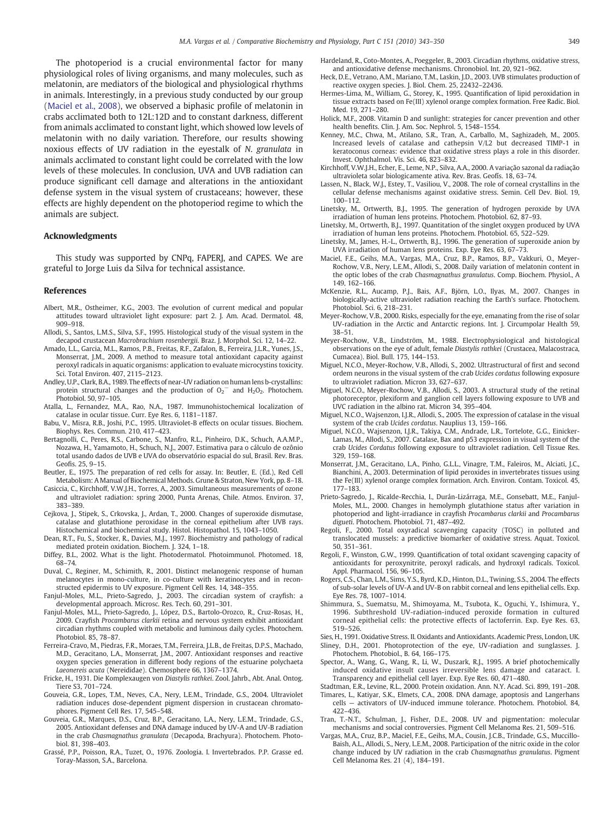<span id="page-6-0"></span>The photoperiod is a crucial environmental factor for many physiological roles of living organisms, and many molecules, such as melatonin, are mediators of the biological and physiological rhythms in animals. Interestingly, in a previous study conducted by our group (Maciel et al., 2008), we observed a biphasic profile of melatonin in crabs acclimated both to 12L:12D and to constant darkness, different from animals acclimated to constant light, which showed low levels of melatonin with no daily variation. Therefore, our results showing noxious effects of UV radiation in the eyestalk of N. granulata in animals acclimated to constant light could be correlated with the low levels of these molecules. In conclusion, UVA and UVB radiation can produce significant cell damage and alterations in the antioxidant defense system in the visual system of crustaceans; however, these effects are highly dependent on the photoperiod regime to which the animals are subject.

# Acknowledgments

This study was supported by CNPq, FAPERJ, and CAPES. We are grateful to Jorge Luis da Silva for technical assistance.

#### References

- Albert, M.R., Ostheimer, K.G., 2003. The evolution of current medical and popular attitudes toward ultraviolet light exposure: part 2. J. Am. Acad. Dermatol. 48, 909–918.
- Allodi, S., Santos, L.M.S., Silva, S.F., 1995. Histological study of the visual system in the decapod crustacean Macrobrachium rosenbergii. Braz. J. Morphol. Sci. 12, 14–22.
- Amado, L.L., Garcia, M.L., Ramos, P.B., Freitas, R.F., Zafalon, B., Ferreira, J.L.R., Yunes, J.S., Monserrat, J.M., 2009. A method to measure total antioxidant capacity against peroxyl radicals in aquatic organisms: application to evaluate microcystins toxicity. Sci. Total Environ. 407, 2115–2123.
- Andley, U.P., Clark, B.A., 1989. The effects of near-UV radiation on human lens b-crystallins: protein structural changes and the production of  $O_2^-$  and  $H_2O_2$ . Photochem. Photobiol. 50, 97–105.
- Atalla, L., Fernandez, M.A., Rao, N.A., 1987. Immunohistochemical localization of catalase in ocular tissue. Curr. Eye Res. 6, 1181–1187.
- Babu, V., Misra, R.B., Joshi, P.C., 1995. Ultraviolet-B effects on ocular tissues. Biochem. Biophys. Res. Commun. 210, 417–423.
- Bertagnolli, C., Peres, R.S., Carbone, S., Manfro, R.L., Pinheiro, D.K., Schuch, A.A.M.P., Nozawa, H., Yamamoto, H., Schuch, N.J., 2007. Estimativa para o cálculo de ozônio total usando dados de UVB e UVA do observatório espacial do sul, Brasil. Rev. Bras. Geofis. 25, 9–15.
- Beutler, E., 1975. The preparation of red cells for assay. In: Beutler, E. (Ed.), Red Cell Metabolism: A Manual of Biochemical Methods. Grune & Straton, New York, pp. 8–18.
- Casiccia, C., Kirchhoff, V.W.J.H., Torres, A., 2003. Simultaneous measurements of ozone and ultraviolet radiation: spring 2000, Punta Arenas, Chile. Atmos. Environ. 37, 383–389.
- Cejkova, J., Stipek, S., Crkovska, J., Ardan, T., 2000. Changes of superoxide dismutase, catalase and glutathione peroxidase in the corneal epithelium after UVB rays. Histochemical and biochemical study. Histol. Histopathol. 15, 1043-1050.
- Dean, R.T., Fu, S., Stocker, R., Davies, M.J., 1997. Biochemistry and pathology of radical mediated protein oxidation. Biochem. J. 324, 1–18.
- Diffey, B.L., 2002. What is the light. Photodermatol. Photoimmunol. Photomed. 18, 68–74.
- Duval, C., Reginer, M., Schimith, R., 2001. Distinct melanogenic response of human melanocytes in mono-culture, in co-culture with keratinocytes and in reconstructed epidermis to UV exposure. Pigment Cell Res. 14, 348–355.
- Fanjul-Moles, M.L., Prieto-Sagredo, J., 2003. The circadian system of crayfish: a developmental approach. Microsc. Res. Tech. 60, 291–301.
- Fanjul-Moles, M.L., Prieto-Sagredo, J., López, D.S., Bartolo-Orozco, R., Cruz-Rosas, H., 2009. Crayfish Procambarus clarkii retina and nervous system exhibit antioxidant circadian rhythms coupled with metabolic and luminous daily cycles. Photochem. Photobiol. 85, 78–87.
- Ferreira-Cravo, M., Piedras, F.R., Moraes, T.M., Ferreira, J.L.B., de Freitas, D.P.S., Machado, M.D., Geracitano, L.A., Monserrat, J.M., 2007. Antioxidant responses and reactive oxygen species generation in different body regions of the estuarine polychaeta Laeonereis acuta (Nereididae). Chemosphere 66, 1367–1374.
- Fricke, H., 1931. Die Komplexaugen von Diastylis rathkei. Zool. Jahrb., Abt. Anal. Ontog. Tiere S3, 701–724.
- Gouveia, G.R., Lopes, T.M., Neves, C.A., Nery, L.E.M., Trindade, G.S., 2004. Ultraviolet radiation induces dose-dependent pigment dispersion in crustacean chromatophores. Pigment Cell Res. 17, 545–548.
- Gouveia, G.R., Marques, D.S., Cruz, B.P., Geracitano, L.A., Nery, L.E.M., Trindade, G.S., 2005. Antioxidant defenses and DNA damage induced by UV-A and UV-B radiation in the crab Chasmagnathus granulata (Decapoda, Brachyura). Photochem. Photobiol. 81, 398–403.
- Grassé, P.P., Poisson, R.A., Tuzet, O., 1976. Zoologia. I. Invertebrados. P.P. Grasse ed. Toray-Masson, S.A., Barcelona.
- Hardeland, R., Coto-Montes, A., Poeggeler, B., 2003. Circadian rhythms, oxidative stress, and antioxidative defense mechanisms. Chronobiol. Int. 20, 921–962.
- Heck, D.E., Vetrano, A.M., Mariano, T.M., Laskin, J.D., 2003. UVB stimulates production of reactive oxygen species. J. Biol. Chem. 25, 22432–22436.
- Hermes-Lima, M., William, G., Storey, K., 1995. Quantification of lipid peroxidation in tissue extracts based on Fe(III) xylenol orange complex formation. Free Radic. Biol. Med. 19, 271–280.
- Holick, M.F., 2008. Vitamin D and sunlight: strategies for cancer prevention and other health benefits. Clin. J. Am. Soc. Nephrol. 5, 1548–1554.
- Kenney, M.C., Chwa, M., Atilano, S.R., Tran, A., Carballo, M., Saghizadeh, M., 2005. Increased levels of catalase and cathepsin V/L2 but decreased TIMP-1 in keratoconus corneas: evidence that oxidative stress plays a role in this disorder. Invest. Ophthalmol. Vis. Sci. 46, 823–832.
- Kirchhoff, V.W.J.H., Echer, E., Leme, N.P., Silva, A.A., 2000. A variação sazonal da radiação ultravioleta solar biologicamente ativa. Rev. Bras. Geofís. 18, 63–74.
- Lassen, N., Black, W.J., Estey, T., Vasiliou, V., 2008. The role of corneal crystallins in the cellular defense mechanisms against oxidative stress. Semin. Cell Dev. Biol. 19, 100–112.
- Linetsky, M., Ortwerth, B.J., 1995. The generation of hydrogen peroxide by UVA irradiation of human lens proteins. Photochem. Photobiol. 62, 87–93.
- Linetsky, M., Ortwerth, B.J., 1997. Quantitation of the singlet oxygen produced by UVA irradiation of human lens proteins. Photochem. Photobiol. 65, 522–529.
- Linetsky, M., James, H.-L., Ortwerth, B.J., 1996. The generation of superoxide anion by UVA irradiation of human lens proteins. Exp. Eye Res. 63, 67–73.
- Maciel, F.E., Geihs, M.A., Vargas, M.A., Cruz, B.P., Ramos, B.P., Vakkuri, O., Meyer-Rochow, V.B., Nery, L.E.M., Allodi, S., 2008. Daily variation of melatonin content in the optic lobes of the crab Chasmagnathus granulatus. Comp. Biochem. Physiol., A 149, 162–166.
- McKenzie, R.L., Aucamp, P.J., Bais, A.F., Björn, L.O., Ilyas, M., 2007. Changes in biologically-active ultraviolet radiation reaching the Earth's surface. Photochem. Photobiol. Sci. 6, 218–231.
- Meyer-Rochow, V.B., 2000. Risks, especially for the eye, emanating from the rise of solar UV-radiation in the Arctic and Antarctic regions. Int. J. Circumpolar Health 59, 38–51.
- Meyer-Rochow, V.B., Lindström, M., 1988. Electrophysiological and histological observations on the eye of adult, female Diastylis rathkei (Crustacea, Malacostraca, Cumacea). Biol. Bull. 175, 144–153.
- Miguel, N.C.O., Meyer-Rochow, V.B., Allodi, S., 2002. Ultrastructural of first and second ordem neurons in the visual system of the crab Ucides cordatus following exposure to ultraviolet radiation. Micron 33, 627–637.
- Miguel, N.C.O., Meyer-Rochow, V.B., Allodi, S., 2003. A structural study of the retinal photoreceptor, plexiform and ganglion cell layers following exposure to UVB and UVC radiation in the albino rat. Micron 34, 395–404.
- Miguel, N.C.O., Wajsenzon, I.J.R., Allodi, S., 2005. The expression of catalase in the visual system of the crab Ucides cordatus. Nauplius 13, 159–166.
- Miguel, N.C.O., Wajsenzon, I.J.R., Takiya, C.M., Andrade, L.R., Tortelote, G.G., Einicker-Lamas, M., Allodi, S., 2007. Catalase, Bax and p53 expression in visual system of the crab Ucides Cordatus following exposure to ultraviolet radiation. Cell Tissue Res. 329, 159–168.
- Monserrat, J.M., Geracitano, L.A., Pinho, G.L.L., Vinagre, T.M., Faleiros, M., Alciati, J.C., Bianchini, A., 2003. Determination of lipid peroxides in invertebrates tissues using the Fe(III) xylenol orange complex formation. Arch. Environ. Contam. Toxicol. 45, 177–183.
- Prieto-Sagredo, J., Ricalde-Recchia, I., Durán-Lizárraga, M.E., Gonsebatt, M.E., Fanjul-Moles, M.L., 2000. Changes in hemolymph glutathione status after variation in photoperiod and light-irradiance in crayfish Procambarus clarkii and Procambarus digueti. Photochem. Photobiol. 71, 487–492.
- Regoli, F., 2000. Total oxyradical scavenging capacity (TOSC) in polluted and translocated mussels: a predictive biomarker of oxidative stress. Aquat. Toxicol. 50, 351–361.
- Regoli, F., Winston, G.W., 1999. Quantification of total oxidant scavenging capacity of antioxidants for peroxynitrite, peroxyl radicals, and hydroxyl radicals. Toxicol. Appl. Pharmacol. 156, 96–105.
- Rogers, C.S., Chan, L.M., Sims, Y.S., Byrd, K.D., Hinton, D.L., Twining, S.S., 2004. The effects of sub-solar levels of UV-A and UV-B on rabbit corneal and lens epithelial cells. Exp. Eye Res. 78, 1007–1014.
- Shimmura, S., Suematsu, M., Shimoyama, M., Tsubota, K., Oguchi, Y., Ishimura, Y., 1996. Subthreshold UV-radiation-induced peroxide formation in cultured corneal epithelial cells: the protective effects of lactoferrin. Exp. Eye Res. 63, 519–526.
- Sies, H., 1991. Oxidative Stress. II. Oxidants and Antioxidants. Academic Press, London, UK.
- Sliney, D.H., 2001. Photoprotection of the eye, UV-radiation and sunglasses. J. Photochem. Photobiol., B. 64, 166–175.
- Spector, A., Wang, G., Wang, R., Li, W., Duszark, R.J., 1995. A brief photochemically induced oxidative insult causes irreversible lens damage and cataract. I. Transparency and epithelial cell layer. Exp. Eye Res. 60, 471–480.
- Stadtman, E.R., Levine, R.L., 2000. Protein oxidation. Ann. N.Y. Acad. Sci. 899, 191–208. Timares, L., Katiyar, S.K., Elmets, C.A., 2008. DNA damage, apoptosis and Langerhans cells — activators of UV-induced immune tolerance. Photochem. Photobiol. 84,
- 422–436. Tran, T.-N.T., Schulman, J., Fisher, D.E., 2008. UV and pigmentation: molecular mechanisms and social controversies. Pigment Cell Melanoma Res. 21, 509–516.
- Vargas, M.A., Cruz, B.P., Maciel, F.E., Geihs, M.A., Cousin, J.C.B., Trindade, G.S., Muccillo-Baish, A.L., Allodi, S., Nery, L.E.M., 2008. Participation of the nitric oxide in the color change induced by UV radiation in the crab Chasmagnathus granulatus. Pigment Cell Melanoma Res. 21 (4), 184–191.